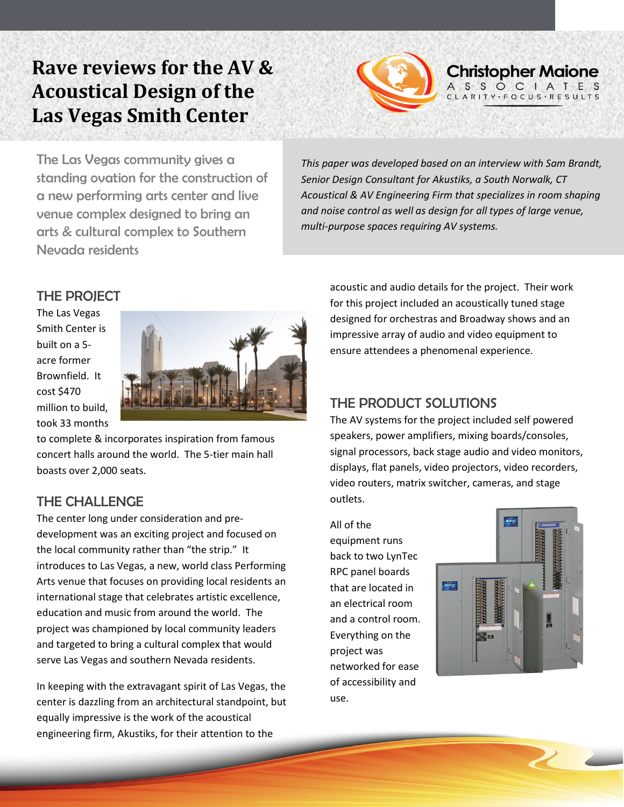# **Rave reviews for the AV & Acoustical Design of the Las Vegas Smith Center**



The Las Vegas community gives a standing ovation for the construction of a new performing arts center and live venue complex designed to bring an arts & cultural complex to Southern and a cultural complex to bouthern<br>Nevada residents

*This paper was developed based on an interview with Sam Brandt, Senior Design Consultant for Akustiks, a South Norwalk, CT Acoustical & AV Engineering Firm that specializes in room shaping and noise control as well as design for all types of large venue, multi-purpose spaces requiring AV systems.* 

# THE PROJECT

The Las Vegas Smith Center is built on a 5 acre former Brownfield. It cost \$470 million to build, took 33 months



to complete & incorporates inspiration from famous concert halls around the world. The 5-tier main hall  boasts over 2,000 seats.

# THE CHALLENGE

The center long under consideration and predevelopment was an exciting project and focused on the local community rather than "the strip." It introduces to Las Vegas, a new, world class Performing Arts venue that focuses on providing local residents an international stage that celebrates artistic excellence, education and music from around the world. The project was championed by local community leaders and targeted to bring a cultural complex that would serve Las Vegas and southern Nevada residents.

In keeping with the extravagant spirit of Las Vegas, the center is dazzling from an architectural standpoint, but equally impressive is the work of the acoustical engineering firm, Akustiks, for their attention to the

acoustic and audio details for the project. Their work for this project included an acoustically tuned stage designed for orchestras and Broadway shows and an impressive array of audio and video equipment to ensure attendees a phenomenal experience.

# THE PRODUCT SOLUTIONS

The AV systems for the project included self powered speakers, power amplifiers, mixing boards/consoles, signal processors, back stage audio and video monitors, displays, flat panels, video projectors, video recorders, video routers, matrix switcher, cameras, and stage outlets.

All of the equipment runs back to two LynTec RPC panel boards that are located in an electrical room and a control room. Everything on the project was networked for ease of accessibility and use.

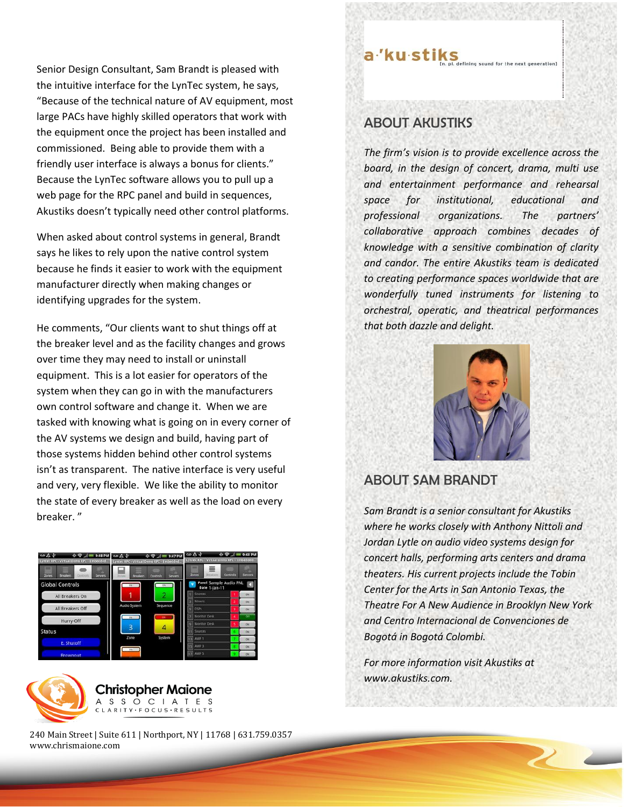Senior Design Consultant, Sam Brandt is pleased with the intuitive interface for the LynTec system, he says, "Because of the technical nature of AV equipment, most large PACs have highly skilled operators that work with the equipment once the project has been installed and commissioned. Being able to provide them with a friendly user interface is always a bonus for clients." Because the LynTec software allows you to pull up a web page for the RPC panel and build in sequences, Akustiks doesn't typically need other control platforms.

When asked about control systems in general, Brandt says he likes to rely upon the native control system because he finds it easier to work with the equipment manufacturer directly when making changes or identifying upgrades for the system.

He comments, "Our clients want to shut things off at the breaker level and as the facility changes and grows over time they may need to install or uninstall equipment. This is a lot easier for operators of the system when they can go in with the manufacturers own control software and change it. When we are tasked with knowing what is going on in every corner of the AV systems we design and build, having part of those systems hidden behind other control systems isn't as transparent. The native interface is very useful and very, very flexible. We like the ability to monitor the state of every breaker as well as the load on every breaker. "





240 Main Street | Suite 611 | Northport, NY | 11768 | 631.759.0357 www.chrismaione.com

ABOUT AKUSTIKS

a'ku stiks

*The firm's vision is to provide excellence across the board, in the design of concert, drama, multi use and entertainment performance and rehearsal space for institutional, educational and professional organizations. The partners' collaborative approach combines decades of knowledge with a sensitive combination of clarity and candor. The entire Akustiks team is dedicated to creating performance spaces worldwide that are wonderfully tuned instruments for listening to orchestral, operatic, and theatrical performances that both dazzle and delight.*

defining sound for the next generation]



#### ABOUT SAM BRANDT

*Sam Brandt is a senior consultant for Akustiks where he works closely with Anthony Nittoli and Jordan Lytle on audio video systems design for concert halls, performing arts centers and drama theaters. His current projects include the Tobin Center for the Arts in San Antonio Texas, the Theatre For A New Audience in Brooklyn New York and Centro Internacional de Convenciones de Bogotá in Bogotá Colombi.*

*For more information visit Akustiks at [www.akustiks.com.](http://www.akustiks.com/)*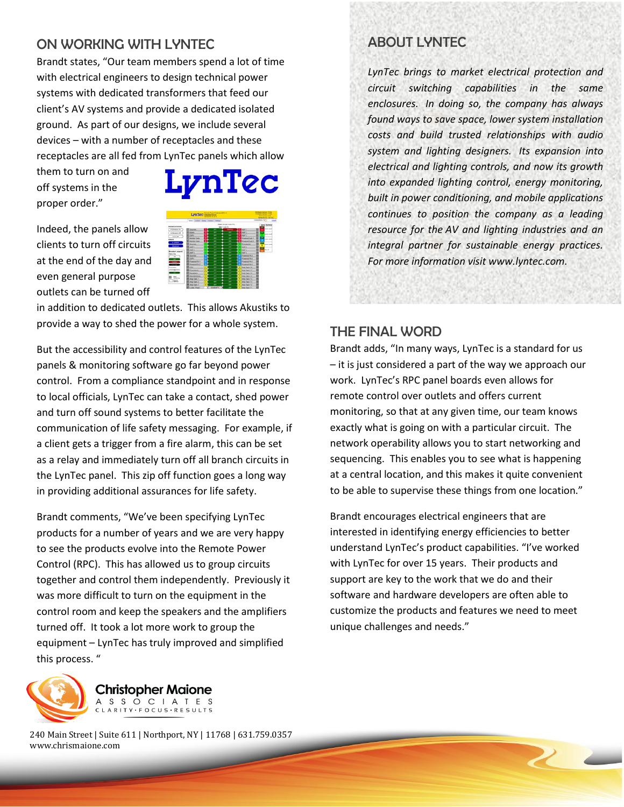## ON WORKING WITH LYNTEC

Brandt states, "Our team members spend a lot of time with electrical engineers to design technical power systems with dedicated transformers that feed our client's AV systems and provide a dedicated isolated ground. As part of our designs, we include several devices – with a number of receptacles and these receptacles are all fed from LynTec panels which allow

them to turn on and off systems in the proper order."

Indeed, the panels allow clients to turn off circuits at the end of the day and even general purpose outlets can be turned off



in addition to dedicated outlets. This allows Akustiks to provide a way to shed the power for a whole system.

But the accessibility and control features of the LynTec panels & monitoring software go far beyond power control. From a compliance standpoint and in response to local officials, LynTec can take a contact, shed power and turn off sound systems to better facilitate the communication of life safety messaging. For example, if a client gets a trigger from a fire alarm, this can be set as a relay and immediately turn off all branch circuits in the LynTec panel. This zip off function goes a long way in providing additional assurances for life safety.

Brandt comments, "We've been specifying LynTec products for a number of years and we are very happy to see the products evolve into the Remote Power Control (RPC). This has allowed us to group circuits together and control them independently. Previously it was more difficult to turn on the equipment in the control room and keep the speakers and the amplifiers turned off. It took a lot more work to group the equipment – LynTec has truly improved and simplified this process. "



**Christopher Maione** A S S O C I A T E S ARITY · FOCUS · RESULTS

240 Main Street | Suite 611 | Northport, NY | 11768 | 631.759.0357 www.chrismaione.com

# ABOUT LYNTEC

*LynTec brings to market electrical protection and circuit switching capabilities in the same enclosures. In doing so, the company has always found ways to save space, lower system installation costs and build trusted relationships with audio system and lighting designers. Its expansion into electrical and lighting controls, and now its growth into expanded lighting control, energy monitoring, built in power conditioning, and mobile applications continues to position the company as a leading resource for the AV and lighting industries and an integral partner for sustainable energy practices. For more information visit www.lyntec.com.*

### THE FINAL WORD

Brandt adds, "In many ways, LynTec is a standard for us – it is just considered a part of the way we approach our work. LynTec's RPC panel boards even allows for remote control over outlets and offers current monitoring, so that at any given time, our team knows exactly what is going on with a particular circuit. The network operability allows you to start networking and sequencing. This enables you to see what is happening at a central location, and this makes it quite convenient to be able to supervise these things from one location."

Brandt encourages electrical engineers that are interested in identifying energy efficiencies to better understand LynTec's product capabilities. "I've worked with LynTec for over 15 years. Their products and support are key to the work that we do and their software and hardware developers are often able to customize the products and features we need to meet unique challenges and needs."

**The Contract of the Contract of the Contract of the Contract of the Contract of The Contract of The Contract of The Contract of The Contract of The Contract of The Contract of The Contract of The Contract of The Contract**